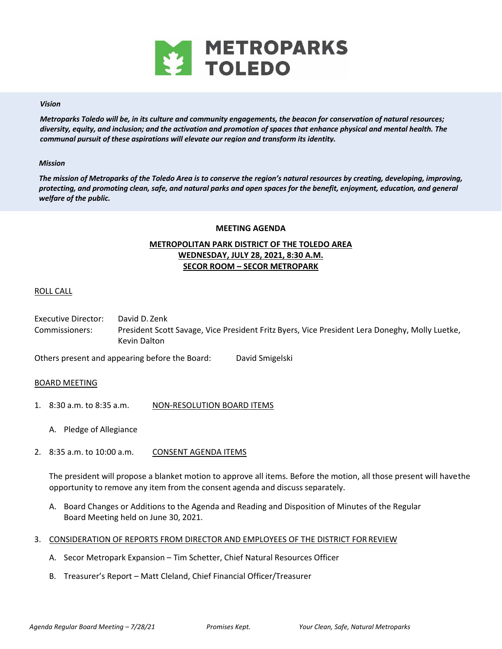

### *Vision*

*Metroparks Toledo will be, in its culture and community engagements, the beacon for conservation of natural resources; diversity, equity, and inclusion; and the activation and promotion of spaces that enhance physical and mental health. The communal pursuit of these aspirations will elevate our region and transform its identity.* 

### *Mission*

*The mission of Metroparks of the Toledo Area is to conserve the region's natural resources by creating, developing, improving, protecting, and promoting clean, safe, and natural parks and open spaces for the benefit, enjoyment, education, and general welfare of the public.* 

#### **MEETING AGENDA**

# **METROPOLITAN PARK DISTRICT OF THE TOLEDO AREA WEDNESDAY, JULY 28, 2021, 8:30 A.M. SECOR ROOM – SECOR METROPARK**

## ROLL CALL

Executive Director: David D. Zenk Commissioners: President Scott Savage, Vice President Fritz Byers, Vice President Lera Doneghy, Molly Luetke, Kevin Dalton

Others present and appearing before the Board: David Smigelski

### BOARD MEETING

- 1. 8:30 a.m. to 8:35 a.m. NON-RESOLUTION BOARD ITEMS
	- A. Pledge of Allegiance
- 2. 8:35 a.m. to 10:00 a.m. CONSENT AGENDA ITEMS

The president will propose a blanket motion to approve all items. Before the motion, all those present will have the opportunity to remove any item from the consent agenda and discuss separately.

- A. Board Changes or Additions to the Agenda and Reading and Disposition of Minutes of the Regular Board Meeting held on June 30, 2021.
- 3. CONSIDERATION OF REPORTS FROM DIRECTOR AND EMPLOYEES OF THE DISTRICT FOR REVIEW
	- A. Secor Metropark Expansion Tim Schetter, Chief Natural Resources Officer
	- B. Treasurer's Report Matt Cleland, Chief Financial Officer/Treasurer